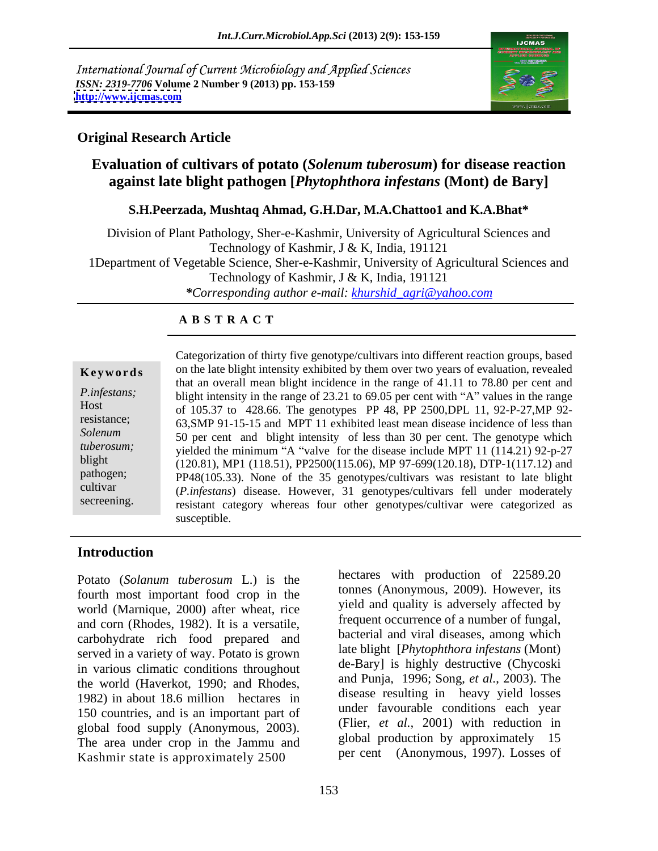International Journal of Current Microbiology and Applied Sciences *ISSN: 2319-7706* **Volume 2 Number 9 (2013) pp. 153-159 <http://www.ijcmas.com>**



## **Original Research Article**

# **Evaluation of cultivars of potato (***Solenum tuberosum***) for disease reaction against late blight pathogen [***Phytophthora infestans* **(Mont) de Bary]**

### **S.H.Peerzada, Mushtaq Ahmad, G.H.Dar, M.A.Chattoo1 and K.A.Bhat\***

Division of Plant Pathology, Sher-e-Kashmir, University of Agricultural Sciences and Technology of Kashmir, J & K, India, 191121 1Department of Vegetable Science, Sher-e-Kashmir, University of Agricultural Sciences and Technology of Kashmir, J & K, India, 191121 *\*Corresponding author e-mail: khurshid\_agri@yahoo.com*

### **A B S T R A C T**

**Keywords** on the late blight intensity exhibited by them over two years of evaluation, revealed *P.infestans;*blight intensity in the range of 23.21 to 69.05 per cent with "A" values in the range Host of 105.37 to 428.66. The genotypes PP 48, PP 2500,DPL 11, 92-P-27,MP 92 resistance; 63,SMP 91-15-15 and MPT 11 exhibited least mean disease incidence of less than Solenum 50 per cent and blight intensity of less than 30 per cent. The genotype which  *yielded the minimum "A "valve" for the disease include MPT 11 (114.21) 92-p-27* blight (120.81), MP1 (118.51), PP2500(115.06), MP 97-699(120.18), DTP-1(117.12) and pathogen; PP48(105.33). None of the 35 genotypes/cultivars was resistant to late blight cultivar (*P.infestans*) disease. However, 31 genotypes/cultivars fell under moderately secreening. resistant category whereas four other genotypes/cultivar were categorized as Categorization of thirty five genotype/cultivars into different reaction groups, based that an overall mean blight incidence in the range of 41.11 to 78.80 per cent and susceptible.

## **Introduction**

Potato (*Solanum tuberosum* L.) is the fourth most important food crop in the world (Marnique, 2000) after wheat, rice and corn (Rhodes, 1982). It is a versatile, carbohydrate rich food prepared and served in a variety of way. Potato is grown in various climatic conditions throughout the world (Haverkot, 1990; and Rhodes, 1982) in about 18.6 million hectares in 150 countries, and is an important part of global food supply (Anonymous, 2003). (Filer, et al., 2001) with reduction in<br>The area under area in the Jammu and global production by approximately 15 The area under crop in the Jammu and Kashmir state is approximately 2500

153

hectares with production of 22589.20 tonnes (Anonymous, 2009). However, its yield and quality is adversely affected by frequent occurrence of a number of fungal, bacterial and viral diseases, among which late blight [*Phytophthora infestans* (Mont) de-Bary] is highly destructive (Chycoski and Punja, 1996; Song, *et al.*, 2003). The disease resulting in heavy yield losses under favourable conditions each year (Flier, *et al.,* 2001) with reduction in global production by approximately 15 per cent (Anonymous, 1997). Losses of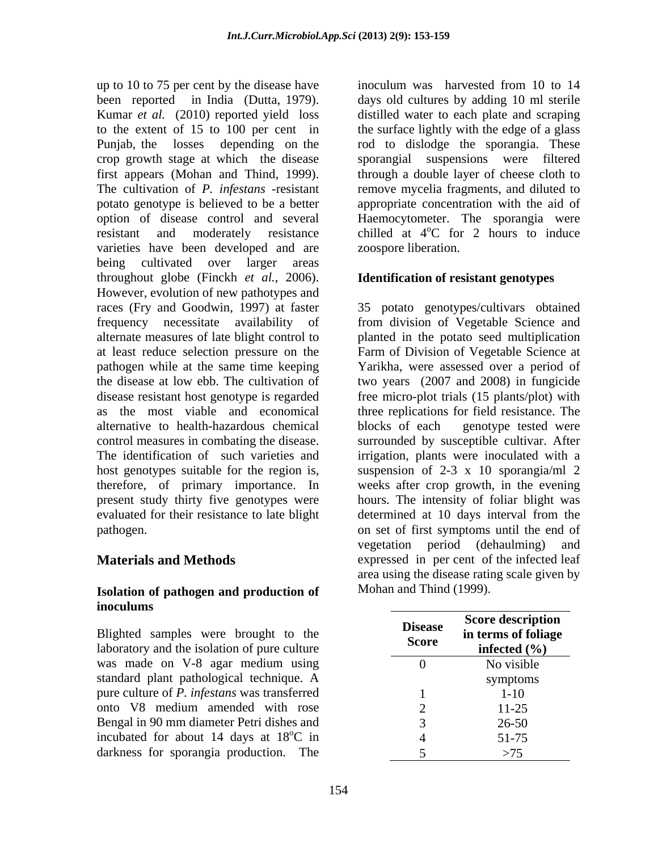up to 10 to 75 per cent by the disease have inoculum was harvested from 10 to 14 been reported in India (Dutta, 1979). days old cultures by adding 10 ml sterile Kumar *et al.* (2010) reported yield loss distilled water to each plate and scraping to the extent of 15 to 100 per cent in the surface lightly with the edge of a glass Punjab, the losses depending on the rod to dislodge the sporangia. These crop growth stage at which the disease sporangial suspensions were filtered first appears (Mohan and Thind, 1999). The cultivation of *P. infestans* -resistant potato genotype is believed to be a better appropriate concentration with the aid of option of disease control and several Haemocytometer. The sporangia were resistant and moderately resistance chilled at 4<sup>o</sup>C for 2 hours to induce varieties have been developed and are being cultivated over larger areas throughout globe (Finckh *et al.*, 2006). However, evolution of new pathotypes and races (Fry and Goodwin, 1997) at faster 35 potato genotypes/cultivars obtained frequency necessitate availability of from division of Vegetable Science and alternate measures of late blight control to planted in the potato seed multiplication at least reduce selection pressure on the Farm of Division of Vegetable Science at pathogen while at the same time keeping Yarikha, were assessed over a period of the disease at low ebb. The cultivation of two years (2007 and 2008) in fungicide disease resistant host genotype is regarded free micro-plot trials (15 plants/plot) with as the most viable and economical three replications for field resistance. The alternative to health-hazardous chemical control measures in combating the disease. Surrounded by susceptible cultivar. After The identification of such varieties and irrigation, plants were inoculated with a host genotypes suitable for the region is, suspension of 2-3 x 10 sporangia/ml 2 therefore, of primary importance. In present study thirty five genotypes were hours. The intensity of foliar blight was evaluated for their resistance to late blight determined at 10 days interval from the pathogen. on set of first symptoms until the end of

### **Isolation of pathogen and production of inoculums**

Blighted samples were brought to the laboratory and the isolation of pure culture was made on V-8 agar medium using 0 and Novisible standard plant pathological technique. A pure culture of *P. infestans* was transferred onto V8 medium amended with rose Bengal in 90 mm diameter Petri dishes and incubated for about 14 days at  $18^{\circ}$ C in darkness for sporangia production. The

inoculum was harvested from 10 to 14 through a double layer of cheese cloth to remove mycelia fragments, and diluted to  $\rm{^{\circ}C}$  for 2 hours to induce zoospore liberation.

### **Identification of resistant genotypes**

**Materials and Methods** expressed in per cent of the infected leaf blocks of each genotype tested were weeks after crop growth, in the evening determined at 10 days interval from the vegetation period (dehaulming) and area using the disease rating scale given by Mohan and Thind (1999).

| $\sim$<br>the<br>ulture   | <b>Disease</b><br><b>Score</b> | <b>Score description</b><br>in terms of foliage<br>infected $(\% )$ |
|---------------------------|--------------------------------|---------------------------------------------------------------------|
| using                     |                                | No visible                                                          |
| $\overline{a}$<br>10. TI  |                                | symptoms                                                            |
| ferred                    |                                | $1 - 10$                                                            |
| rose                      |                                | $11 - 25$                                                           |
| s and                     |                                | $26 - 50$                                                           |
| $\sim$<br>$\mathrm{C}$ 11 |                                | F1.7F<br>$51 - 75$                                                  |
| The                       |                                | $\sim$ $\sim$<br>>13                                                |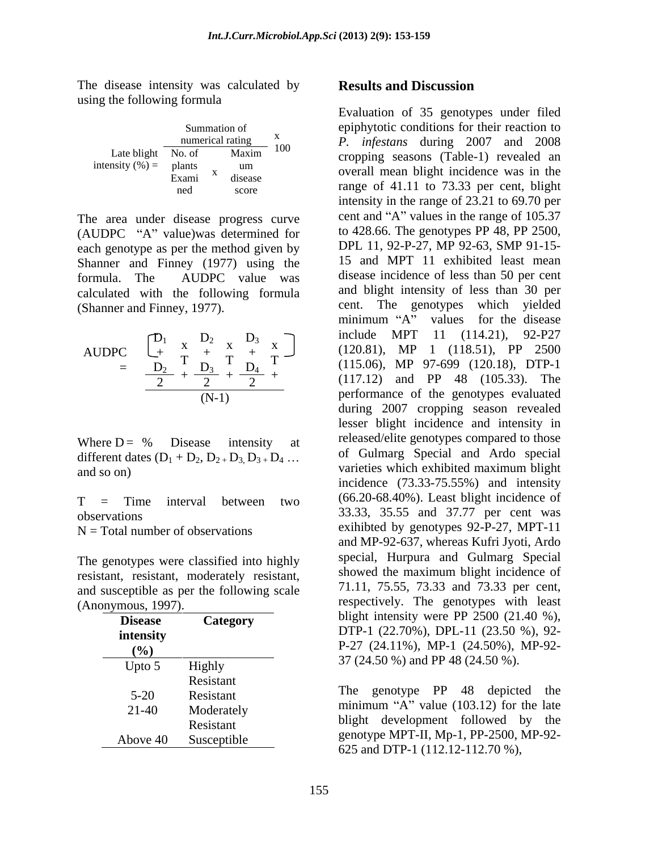The disease intensity was calculated by **Results and Discussion** using the following formula

|                     |        |   | Summation of<br>numerical rating | X   |
|---------------------|--------|---|----------------------------------|-----|
| Late blight         | No. of |   | Maxim                            | 100 |
| intensity $(\% )$ = | plants |   | um                               |     |
|                     | Exami  | X | disease                          |     |
|                     | ned    |   | score                            |     |

The area under disease progress curve  $(AUDPC "A" value)$ was determined for each genotype as per the method given by Shanner and Finney (1977) using the calculated with the following formula

$$
\begin{array}{rcl} \text{AUDPC} & \begin{bmatrix} D_1 & x & D_2 & x & D_3 & x \\ + & T & + & T & + \\ - & D_2 & T & D_3 & T & - \\ \hline 2 & + & 2 & + & 2 \end{bmatrix} & & & \\ & & & & \\ \hline & & & & \\ \hline & & & & \\ \hline & & & & \\ \end{bmatrix}
$$

different dates  $(D_1 + D_2, D_2 + D_3, D_3 + D_4$  ...

 $N = Total number of observations$ 

The genotypes were classified into highly resistant, resistant, moderately resistant, and susceptible as per the following scale

| <b>Disease</b><br>intensity<br>(%) | <b>Category</b>                      | blight intensity were PP $2500$ (21.40 %),<br>DTP-1 $(22.70\%)$ , DPL-11 $(23.50\%)$ , 92-<br>$P-27$ (24.11%), MP-1 (24.50%), MP-92- |  |
|------------------------------------|--------------------------------------|--------------------------------------------------------------------------------------------------------------------------------------|--|
| Upto 5                             | Highly                               | 37 (24.50 %) and PP 48 (24.50 %).                                                                                                    |  |
| $5 - 20$<br>$21 - 40$              | Resistant<br>Resistant<br>Moderately | The genotype PP 48<br>depicted the<br>minimum "A" value $(103.12)$ for the late                                                      |  |
| Above 40                           | Resistant<br>Susceptible             | blight development followed by the<br>genotype MPT-II, Mp-1, PP-2500, MP-92-<br>$625$ and DTD 1 (112 12 112 70 0)                    |  |

### **Results and Discussion**

Summation of epiphytotic conditions for their reaction to numerical rating x *P. infestans* during 2007 and 2008 Late blight No. of Maxim<sup>100</sup> cropping seasons (Table-1) revealed an  $\text{intensity } (\%) = \text{ plants}$  am overall mean blight incidence was in the Exami disease by chain mean onghe includive was in the ned score **here** is tange of 41.11 to 73.35 per cent, bight um successive process in the second mean blickt incidence was in the disease by containing the memorie was in the score range of 41.11 to 73.33 per cent, blight 100 1. *injesians* during 2007 and 2000 formula. The AUDPC value was disease incidence of less than 50 per cent (Shanner and Finney, 1977). cent. The genotypes which yielded  $D_1$   $D_2$   $D_3$   $D_1$  include MPT II (114.21), 92-P27  $+\begin{array}{ccc} x & 2 & 2 \ x & + & x \end{array}$  +  $\begin{array}{ccc} x \\ y \end{array}$  +  $\begin{array}{ccc} x \\ y \end{array}$  +  $\begin{array}{ccc} x \\ y \end{array}$  +  $\begin{array}{ccc} x \\ y \end{array}$  +  $\begin{array}{ccc} x \\ y \end{array}$  +  $\begin{array}{ccc} x \\ y \end{array}$  +  $\begin{array}{ccc} x \\ y \end{array}$  +  $\begin{array}{ccc} x \\ y \end{array}$  +  $\begin{array}{ccc} x \\ y \end{array}$  +  $\begin{array}{ccc} x \\ y$  $\overline{\text{D}_2}$  T  $\overline{\text{D}_3}$  T  $\overline{\text{D}_4}$  T (115.06), MP 97-699 (120.18), DTP-1  $D_2$   $D_3$   $D_4$  include MPT II (114.21), 92-P27  $D_3$   $\Box$  include MPT II (114.21), 92-P27 AUDPC  $\begin{array}{cccc} \downarrow + & \uparrow & + & \uparrow & + \\ \hline \downarrow & & \uparrow & + & \uparrow & + \\ \hline \end{array}$   $\begin{array}{cccc} (120.81), & MP & 1 & (118.51), & PP & 2500 \\ (115.06), & MP & 97-699 & (120.18), & DTP-1 \end{array}$  $\frac{22}{2} + \frac{23}{2} + \frac{24}{2} +$  (117.12) and PP 48 (105.33). The (N-1) performance of the genotypes evaluated Where  $D = \%$  Disease intensity at released/entergenotypes compared to those and so on) varieties which exhibited maximum blight  $T =$  Time interval between two  $(66.20-68.40\%)$ . Least blight includence of observations 33.33, 35.55 and 37.77 per cent was (Anonymous, 1997). respectively. The genotypes with least **Disease Category** blight intensity were PP 2500 (21.40 %), **intensity DTP-1** (22.70%), **DPL-11** (23.50 %), 92-<br> **DTP-1** (24.70%), **DPL-11** (23.50 %), 92-**(%)** P-27 (24.11%), MP-1 (24.50%), MP-92- **Category** bught intensity were PP  $2500 (21.40 %)$ , Evaluation of 35 genotypes under filed intensity in the range of 23.21 to 69.70 per cent and "A" values in the range of  $105.37$ to 428.66. The genotypes PP 48, PP 2500, DPL 11, 92-P-27, MP 92-63, SMP 91-15- 15 and MPT 11 exhibited least mean disease incidence of less than 50 per cent and blight intensity of less than 30 per minimum "A" values for the disease include MPT 11 (114.21), 92-P27 during 2007 cropping season revealed lesser blight incidence and intensity in released/elite genotypes compared to those of Gulmarg Special and Ardo special incidence (73.33-75.55%) and intensity (66.20-68.40%). Least blight incidence of exihibted by genotypes 92-P-27, MPT-11 and MP-92-637, whereas Kufri Jyoti, Ardo special, Hurpura and Gulmarg Special showed the maximum blight incidence of 71.11, 75.55, 73.33 and 73.33 per cent, 37 (24.50 %) and PP 48 (24.50 %).

Resistant 5-20 Resistant The genotype PP 48 depicted the  $21-40$  Moderately minimum A value  $(103.12)$  for the falle Resistant blight development followed by the Resistant Above 40 Susceptible genouype MP 1-11, Mp-1, PP-2500, MP-92minimum "A" value  $(103.12)$  for the late genotype MPT-II, Mp-1, PP-2500, MP-92- 625 and DTP-1 (112.12-112.70 %),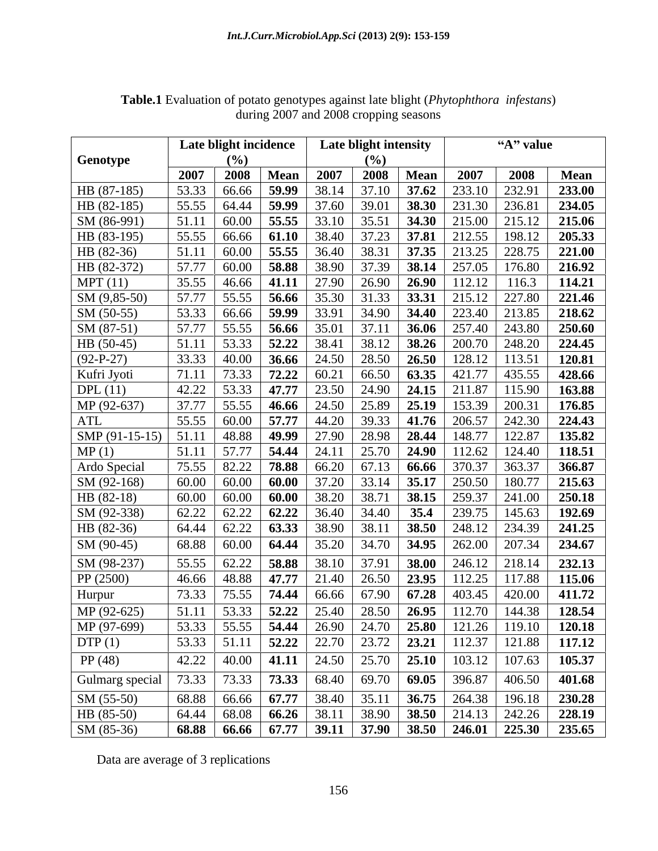|                 |       | Late blight incidence |                                |                                          | Late blight intensity |             |                                                                                                                                                           | "A" value |             |
|-----------------|-------|-----------------------|--------------------------------|------------------------------------------|-----------------------|-------------|-----------------------------------------------------------------------------------------------------------------------------------------------------------|-----------|-------------|
| Genotype        |       | $($ %)                |                                |                                          | $(\%)$                |             |                                                                                                                                                           |           |             |
|                 | 2007  |                       | 2008   Mean                    | 2007                                     |                       | 2008   Mean | 2007                                                                                                                                                      | 2008      | <b>Mean</b> |
| HB (87-185)     | 53.33 |                       |                                |                                          |                       |             | 66.66   <b>59.99</b>   38.14   37.10   <b>37.62</b>   233.10   232.91                                                                                     |           | 233.00      |
| HB (82-185)     | 55.55 |                       |                                |                                          |                       |             | 64.44   <b>59.99</b>   37.60   39.01   <b>38.30</b>   231.30   236.81                                                                                     |           | 234.05      |
| SM (86-991)     | 51.11 | $60.00$ 55.55         |                                | 33.10                                    |                       |             | $\vert$ 35.51   <b>34.30</b>   215.00                                                                                                                     | 215.12    | 215.06      |
| HB (83-195)     | 55.55 |                       |                                |                                          |                       |             | 66.66   61.10   38.40   37.23   37.81   212.55   198.12                                                                                                   |           | 205.33      |
| HB (82-36)      | 51.11 |                       |                                | $60.00$   55.55   36.40                  |                       |             | 38.31 37.35 213.25 228.75                                                                                                                                 |           | 221.00      |
| HB (82-372)     | 57.77 |                       |                                |                                          |                       |             | $60.00$   58.88   38.90   37.39   38.14   257.05   176.80                                                                                                 |           | 216.92      |
| MPT(11)         | 35.55 |                       |                                |                                          |                       |             | $46.66$   41.11   27.90   26.90   26.90   112.12   116.3                                                                                                  |           | 114.21      |
| SM (9,85-50)    | 57.77 |                       | $55.55$ 56.66                  | 35.30                                    |                       |             | $31.33$   <b>33.31</b>   215.12   227.80                                                                                                                  |           | 221.46      |
| $SM(50-55)$     |       |                       |                                |                                          |                       |             | $53.33$   66.66   <b>59.99</b>   33.91   34.90   <b>34.40</b>   223.40   213.85                                                                           |           | 218.62      |
| $SM (87-51)$    | 57.77 |                       |                                | $55.55$   56.66   35.01                  |                       |             | $37.11$   <b>36.06</b>   257.40   243.80                                                                                                                  |           | 250.60      |
| HB (50-45)      | 51.11 |                       |                                | $53.33$   $52.22$   $38.41$              |                       |             | $38.12$   <b>38.26</b>   200.70   248.20                                                                                                                  |           | 224.45      |
| $(92-P-27)$     |       |                       |                                |                                          |                       |             | $33.33$   40.00   <b>36.66</b>   24.50   28.50   <b>26.50</b>   128.12   113.51                                                                           |           | 120.81      |
| Kufri Jyoti     | 71.11 |                       |                                |                                          |                       |             | 73.33   <b>72.22</b>   60.21   66.50   <b>63.35</b>   421.77   435.55                                                                                     |           | 428.66      |
| DPL $(11)$      | 42.22 |                       |                                |                                          |                       |             | $53.33$   47.77   23.50   24.90   24.15   211.87   115.90                                                                                                 |           | 163.88      |
| MP (92-637)     | 37.77 |                       |                                |                                          |                       |             | 55.55   46.66   24.50   25.89   25.19   153.39   200.31                                                                                                   |           | 176.85      |
| ATL             | 55.55 |                       |                                | 60.00   57.77   44.20                    |                       |             | $39.33$   41.76   206.57                                                                                                                                  | 242.30    | 224.43      |
| $SMP(91-15-15)$ | 51.11 |                       |                                |                                          |                       |             | 48.88   49.99   27.90   28.98   28.44   148.77   122.87                                                                                                   |           | 135.82      |
| MP(1)           | 51.11 |                       | $57.77$   <b>54.44</b>   24.11 |                                          |                       |             | $25.70$   24.90   112.62   124.40                                                                                                                         |           | 118.51      |
| Ardo Special    |       |                       |                                |                                          |                       |             | 75.55   82.22   <b>78.88</b>   66.20   67.13   <b>66.66</b>   370.37   363.37                                                                             |           | 366.87      |
| SM (92-168)     | 60.00 |                       |                                |                                          |                       |             | 60.00   60.00   37.20   33.14   35.17   250.50   180.77                                                                                                   |           | 215.63      |
| $HB(82-18)$     | 60.00 |                       | $60.00$ 60.00                  | 38.20                                    | 38.71                 |             | <b>38.15</b>   259.37   241.00                                                                                                                            |           | 250.18      |
| SM (92-338)     | 62.22 |                       |                                | 62.22   62.22   36.40                    |                       |             | $34.40$   <b>35.4</b>   239.75   145.63                                                                                                                   |           | 192.69      |
| HB (82-36)      |       |                       |                                | $64.44$   $62.22$   <b>63.33</b>   38.90 |                       |             | $38.11$   <b>38.50</b>   248.12   234.39                                                                                                                  |           | 241.25      |
|                 |       |                       |                                |                                          |                       |             |                                                                                                                                                           |           |             |
| $SM(90-45)$     | 68.88 |                       |                                |                                          |                       |             | 60.00   64.44   35.20   34.70   34.95   262.00   207.34                                                                                                   |           | 234.67      |
| SM (98-237)     | 55.55 | $62.22$ 58.88         |                                | 38.10                                    |                       |             | $37.91$   38.00   246.12   218.14                                                                                                                         |           | 232.13      |
| PP (2500)       | 46.66 |                       |                                |                                          |                       |             | 48.88   <b>47.77</b>   21.40   26.50   <b>23.95</b>   112.25   117.88                                                                                     |           | 115.06      |
| Hurpur          | 73.33 |                       |                                |                                          |                       |             | 75.55   <b>74.44</b>   66.66   67.90   <b>67.28</b>   403.45   420.00                                                                                     |           | 411.72      |
| MP (92-625)     | 51.11 |                       |                                |                                          |                       |             | 53.33   <b>52.22</b>   25.40   28.50   <b>26.95</b>   112.70   144.38                                                                                     |           | 128.54      |
| MP (97-699)     |       |                       |                                |                                          |                       |             | $\overline{53.33}$ $\overline{55.55}$ $\overline{54.44}$ $\overline{26.90}$ $\overline{24.70}$ $\overline{25.80}$ $\overline{121.26}$ $\overline{119.10}$ |           | 120.18      |
| DTP(1)          |       |                       |                                |                                          |                       |             |                                                                                                                                                           |           | 117.12      |
| PP(48)          | 42.22 |                       |                                |                                          |                       |             | 40.00   41.11   24.50   25.70   25.10   103.12   107.63                                                                                                   |           | 105.37      |
| Gulmarg special | 73.33 |                       |                                |                                          |                       |             | 73.33 73.33 68.40 69.70 69.05 396.87 406.50                                                                                                               |           | 401.68      |
| $SM(55-50)$     |       |                       |                                |                                          |                       |             | 68.88 66.66 67.77 38.40 35.11 36.75 264.38 196.18                                                                                                         |           | 230.28      |
| HB (85-50)      |       |                       |                                |                                          |                       |             | $64.44$   68.08   66.26   38.11   38.90   38.50   214.13   242.26   228.19                                                                                |           |             |
| $SM (85-36)$    |       |                       |                                |                                          |                       |             | 68.88 66.66 67.77 39.11 37.90 38.50 246.01 225.30 235.65                                                                                                  |           |             |

**Table.1** Evaluation of potato genotypes against late blight (*Phytophthora infestans*) during 2007 and 2008 cropping seasons

Data are average of 3 replications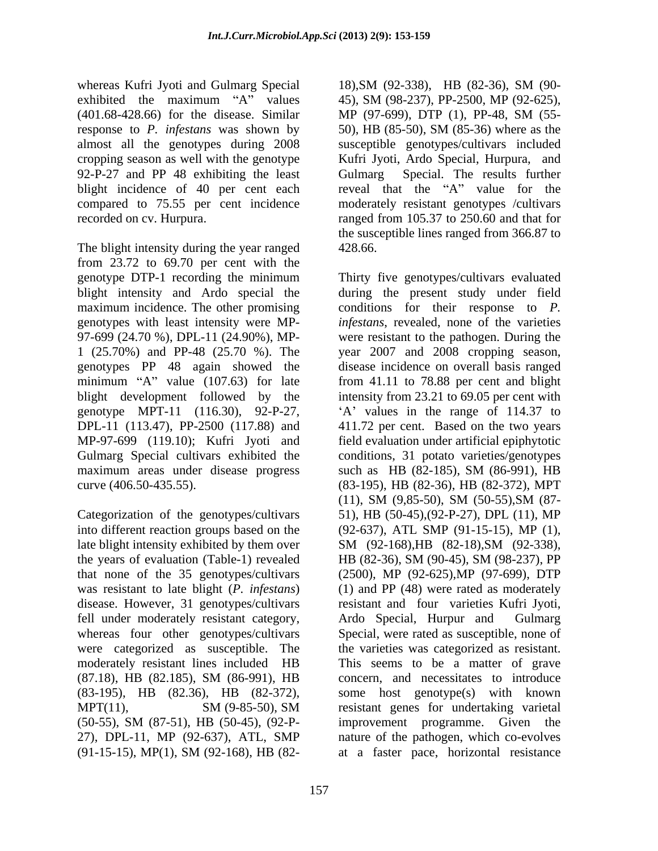whereas Kufri Jyoti and Gulmarg Special 18), SM (92-338), HB (82-36), SM (90exhibited the maximum "A" values  $45$ ), SM (98-237), PP-2500, MP (92-625), (401.68-428.66) for the disease. Similar MP (97-699), DTP (1), PP-48, SM (55response to *P. infestans* was shown by almost all the genotypes during 2008 cropping season as well with the genotype Kufri Jyoti, Ardo Special, Hurpura, and 92-P-27 and PP 48 exhibiting the least Gulmarg blight incidence of 40 per cent each compared to 75.55 per cent incidence moderately resistant genotypes /cultivars recorded on cv. Hurpura. ranged from 105.37 to 250.60 and that for

The blight intensity during the year ranged 428.66. from 23.72 to 69.70 per cent with the genotype DTP-1 recording the minimum Thirty five genotypes/cultivars evaluated blight intensity and Ardo special the genotype MPT-11 (116.30), 92-P-27, Gulmarg Special cultivars exhibited the maximum areas under disease progress such as HB (82-185), SM (86-991), HB

late blight intensity exhibited by them over SM (92-168), HB (82-18), SM (92-338), the years of evaluation (Table-1) revealed HB (82-36), SM (90-45), SM (98-237), PP was resistant to late blight (*P. infestans*) fell under moderately resistant category, Ardo Special, Hurpur and Gulmarg 27), DPL-11, MP (92-637), ATL, SMP (91-15-15), MP(1), SM (92-168), HB (82-

18),SM (92-338), HB (82-36), SM (90- MP (97-699), DTP (1), PP-48, SM (55- 50), HB (85-50), SM (85-36) where as the susceptible genotypes/cultivars included Special. The results further reveal that the "A" value for the the susceptible lines ranged from 366.87 to 428.66.

maximum incidence. The other promising conditions for their response to P. genotypes with least intensity were MP- *infestans*, revealed, none of the varieties 97-699 (24.70 %), DPL-11 (24.90%), MP- were resistant to the pathogen. During the 1 (25.70%) and PP-48 (25.70 %). The year 2007 and 2008 cropping season, genotypes PP 48 again showed the disease incidence on overall basisranged minimum "A" value (107.63) for late from 41.11 to 78.88 per cent and blight blight development followed by the intensity from 23.21 to 69.05 per cent with DPL-11 (113.47), PP-2500 (117.88) and 411.72 per cent. Based on the two years MP-97-699 (119.10); Kufri Jyoti and field evaluation under artificial epiphytotic curve (406.50-435.55). (83-195), HB (82-36), HB (82-372), MPT Categorization of the genotypes/cultivars 51), HB (50-45),(92-P-27), DPL (11), MP into different reaction groups based on the (92-637), ATL SMP (91-15-15), MP(1), that none of the 35 genotypes/cultivars (2500), MP (92-625),MP (97-699), DTP disease. However, 31 genotypes/cultivars resistant and four varieties Kufri Jyoti, whereas four other genotypes/cultivars Special, were rated as susceptible, none of were categorized as susceptible. The the varieties was categorized as resistant. moderately resistant lines included HB This seems to be a matter of grave  $(87.18)$ , HB  $(82.185)$ , SM  $(86-991)$ , HB concern, and necessitates to introduce (83-195), HB (82.36), HB (82-372), some host genotype(s) with known MPT(11), SM (9-85-50), SM resistant genes for undertaking varietal (50-55), SM (87-51), HB (50-45), (92-P during the present study under field A values in the range of 114.37 to conditions, 31 potato varieties/genotypes such as HB (82-185), SM (86-991), HB (11), SM (9,85-50), SM (50-55),SM (87- SM (92-168),HB (82-18),SM (92-338), HB (82-36), SM (90-45), SM (98-237), PP (1) and PP (48) were rated as moderately Ardo Special, Hurpur and concern, and necessitates to introduce resistant genes for undertaking varietal improvement programme. Given the nature of the pathogen, which co-evolves at a faster pace, horizontal resistance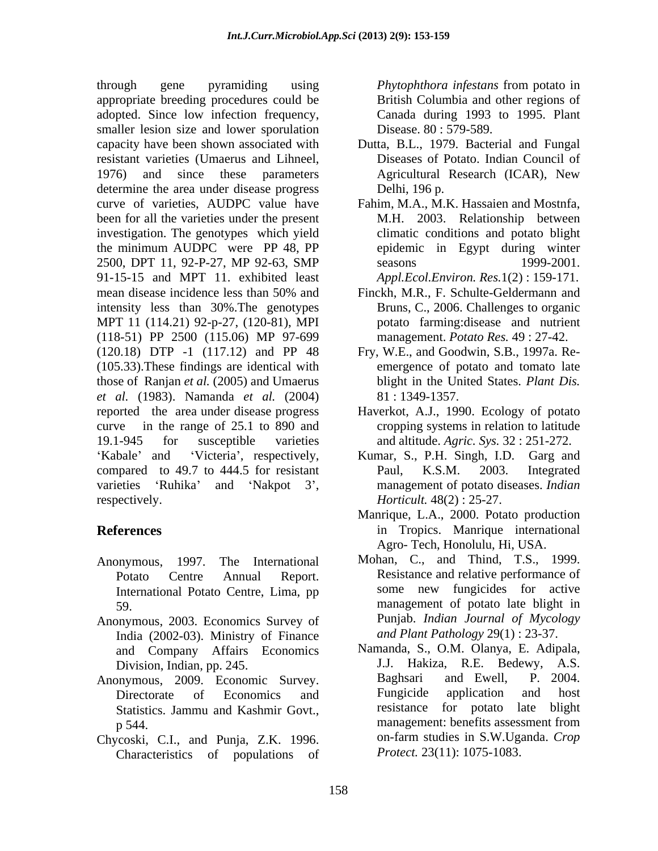through gene pyramiding using *Phytophthora infestans* from potato in appropriate breeding procedures could be adopted. Since low infection frequency, smaller lesion size and lower sporulation capacity have been shown associated with resistant varieties (Umaerus and Lihneel, 1976) and since these parameters Agricultural Research (ICAR), New determine the area under disease progress Delhi, 196 p. curve of varieties, AUDPC value have Fahim, M.A., M.K. Hassaien and Mostnfa, been for all the varieties under the present investigation. The genotypes which yield the minimum AUDPC were PP 48, PP 2500, DPT 11, 92-P-27, MP 92-63, SMP 91-15-15 and MPT 11. exhibited least mean disease incidence less than 50% and Finckh, M.R., F. Schulte-Geldermann and intensity less than 30%.The genotypes MPT 11 (114.21) 92-p-27, (120-81), MPI (118-51) PP 2500 (115.06) MP 97-699 (120.18) DTP -1 (117.12) and PP 48 (105.33).These findings are identical with those of Ranjan *et al.* (2005) and Umaerus *et al.* (1983). Namanda *et al.* (2004) reported the area under disease progress Haverkot, A.J., 1990. Ecology of potato curve in the range of 25.1 to 890 and 19.1-945 for susceptible varieties and altitude. *Agric. Sys.* 32 : 251-272. compared to 49.7 to 444.5 for resistant Paul, K.S.M. 2003. Integrated varieties 'Ruhika' and 'Nakpot 3', respectively. *Horticult.* 48(2) : 25-27.

- International Potato Centre, Lima, pp
- Anonymous, 2003. Economics Survey of India (2002-03). Ministry of Finance and Company Affairs Economics Namanda, S., O.M<br>Division Indian pp 245 J.J. Hakiza.
- 
- Chycoski, C.I., and Punja, Z.K. 1996. Characteristics of populations of

*Phytophthora infestans* from potato in British Columbia and other regions of Canada during 1993 to 1995. Plant Disease. 80 : 579-589.

- Dutta, B.L., 1979. Bacterial and Fungal Diseases of Potato. Indian Council of Agricultural Research (ICAR), New Delhi, 196 p.
- M.H. 2003. Relationship between climatic conditions and potato blight epidemic in Egypt during winter seasons 1999-2001. *Appl.Ecol.Environ. Res.*1(2) : 159-171.
- Finckh, M.R., F. Schulte-Geldermann and Bruns, C., 2006. Challenges to organic potato farming:disease and nutrient management. *Potato Res.* 49 : 27-42.
- Fry, W.E., and Goodwin, S.B., 1997a. Re emergence of potato and tomato late blight in the United States. *Plant Dis.* 81 : 1349-1357.
- cropping systems in relation to latitude
- Kabale' and 'Victeria', respectively, Kumar, S., P.H. Singh, I.D. Garg and Paul, K.S.M. 2003. Integrated management of potato diseases. *Indian*
- **References** in Tropics. Manrique international Manrique, L.A., 2000. Potato production Agro- Tech, Honolulu, Hi, USA.
- Anonymous, 1997. The International Mohan, C., and Thind, T.S., 1999. Potato Centre Annual Report. Resistance and relative performance of 59. management of potato late blight in some new fungicides for active Punjab. *Indian Journal of Mycology and Plant Pathology* 29(1) : 23-37.
- Division, Indian, pp. 245. <br>Division, Indian, pp. 245. <br>Baghsari and Ewell, P. 2004. Anonymous, 2009. Economic Survey. Baghsari and Ewell, P. 2004.<br>Directorate of Economics and Fungicide application and host Directorate of Economics and Fungicide application and host Statistics. Jammu and Kashmir Govt., The resistance for potato late blight p 544.<br>
management: benefits assessment from<br>
properties in S.W.Uganda. Crop<br>
properties in S.W.Uganda. Crop Namanda, S., O.M. Olanya, E. Adipala, R.E. Bedewy, A.S. Baghsari and Ewell, P. 2004. Fungicide application and host resistance for potato late blight management: benefits assessment from on-farm studies in S.W.Uganda. *Crop Protect.* 23(11): 1075-1083.